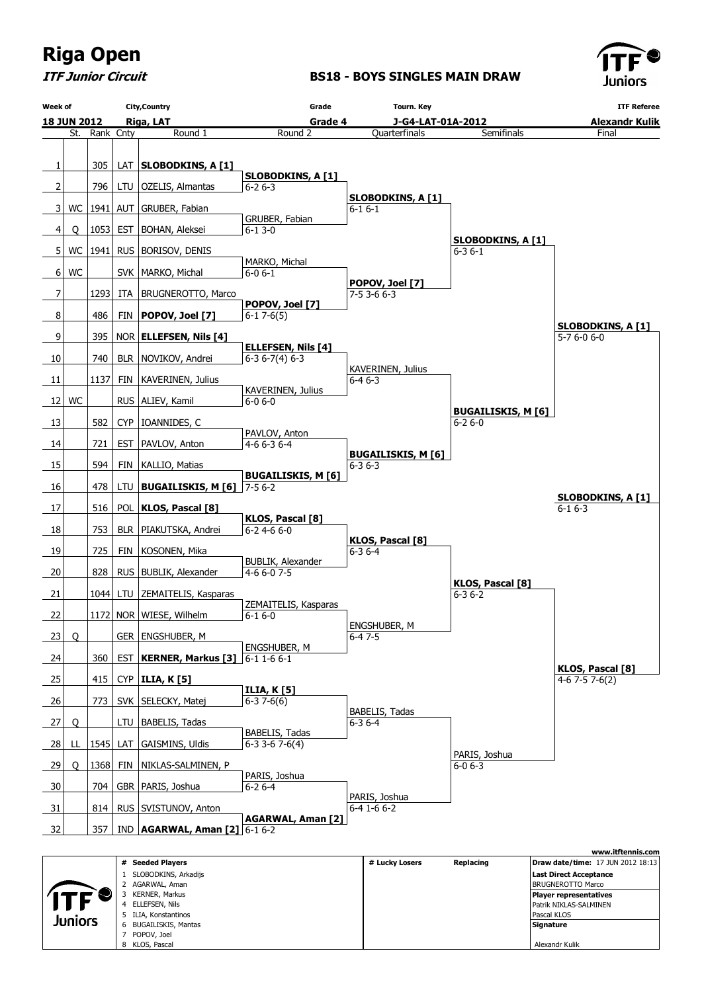

ITF Junior Circuit

#### BS18 - BOYS SINGLES MAIN DRAW



|  |                |   | # Seeded Players     | # Lucky Losers | Replacing | <b>Draw date/time: 17 JUN 2012 18:13</b> |
|--|----------------|---|----------------------|----------------|-----------|------------------------------------------|
|  |                |   | SLOBODKINS, Arkadijs |                |           | <b>Last Direct Acceptance</b>            |
|  |                |   | AGARWAL, Aman        |                |           | <b>BRUGNEROTTO Marco</b>                 |
|  |                |   | KERNER, Markus       |                |           | Player representatives                   |
|  |                |   | ELLEFSEN, Nils       |                |           | Patrik NIKLAS-SALMINEN                   |
|  |                |   | ILIA, Konstantinos   |                |           | Pascal KLOS                              |
|  | <b>Juniors</b> | 6 | BUGAILISKIS, Mantas  |                |           | Signature                                |
|  |                |   | POPOV, Joel          |                |           |                                          |
|  |                |   | 8 KLOS, Pascal       |                |           | Alexandr Kulik                           |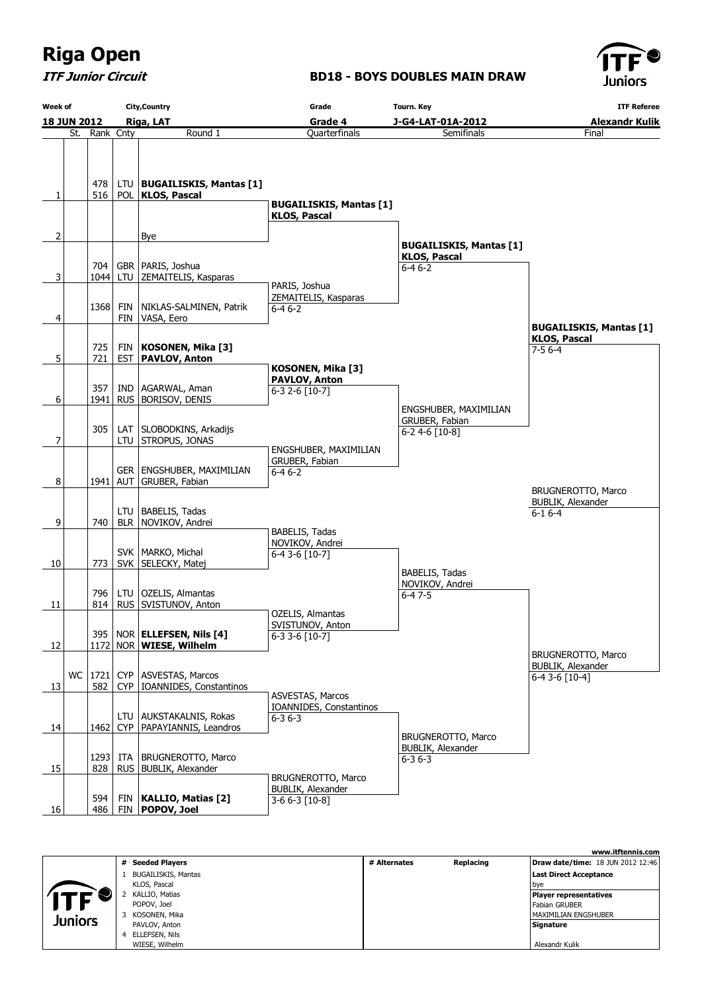ITF Junior Circuit

### BD18 - BOYS DOUBLES MAIN DRAW



|           | <b>City, Country</b><br>Week of<br>Riga, LAT<br><b>18 JUN 2012</b> |               |  |                                                            | Grade<br><b>Tourn. Key</b><br><b>ITF Referee</b>        |                                                                       |                                                                       |  |  |
|-----------|--------------------------------------------------------------------|---------------|--|------------------------------------------------------------|---------------------------------------------------------|-----------------------------------------------------------------------|-----------------------------------------------------------------------|--|--|
|           |                                                                    |               |  |                                                            | Grade 4<br>J-G4-LAT-01A-2012<br><b>Alexandr Kulik</b>   |                                                                       |                                                                       |  |  |
|           |                                                                    | St. Rank Cnty |  | Round 1                                                    | Quarterfinals                                           | Semifinals                                                            | Final                                                                 |  |  |
| 1         |                                                                    | 478<br>516    |  | LTU   BUGAILISKIS, Mantas [1]<br>POL   KLOS, Pascal        | <b>BUGAILISKIS, Mantas [1]</b>                          |                                                                       |                                                                       |  |  |
|           |                                                                    |               |  |                                                            | <b>KLOS, Pascal</b>                                     |                                                                       |                                                                       |  |  |
| 2         |                                                                    |               |  | Bye                                                        |                                                         |                                                                       |                                                                       |  |  |
|           |                                                                    | 704           |  | GBR   PARIS, Joshua                                        |                                                         | <b>BUGAILISKIS, Mantas [1]</b><br><b>KLOS, Pascal</b><br>$6 - 46 - 2$ |                                                                       |  |  |
| 3         |                                                                    | 1044          |  | LTU ZEMAITELIS, Kasparas                                   |                                                         |                                                                       |                                                                       |  |  |
| 4         |                                                                    | 1368          |  | FIN   NIKLAS-SALMINEN, Patrik<br>FIN   VASA, Eero          | PARIS, Joshua<br>ZEMAITELIS, Kasparas<br>$6 - 46 - 2$   |                                                                       |                                                                       |  |  |
|           |                                                                    | 725           |  | FIN   KOSONEN, Mika [3]                                    |                                                         |                                                                       | <b>BUGAILISKIS, Mantas [1]</b><br><b>KLOS, Pascal</b><br>$7 - 56 - 4$ |  |  |
| 5         |                                                                    | 721           |  | <b>EST   PAVLOV, Anton</b>                                 | KOSONEN, Mika [3]                                       |                                                                       |                                                                       |  |  |
| 6         |                                                                    | 357<br>1941   |  | IND   AGARWAL, Aman<br>RUS   BORISOV, DENIS                | PAVLOV, Anton<br>6-3 2-6 [10-7]                         |                                                                       |                                                                       |  |  |
|           |                                                                    |               |  |                                                            |                                                         | ENGSHUBER, MAXIMILIAN                                                 |                                                                       |  |  |
| 7         |                                                                    | 305           |  | LAT   SLOBODKINS, Arkadijs<br>LTU STROPUS, JONAS           |                                                         | GRUBER, Fabian<br>6-2 4-6 [10-8]                                      |                                                                       |  |  |
| 8         |                                                                    |               |  | GER   ENGSHUBER, MAXIMILIAN<br>1941   AUT   GRUBER, Fabian | ENGSHUBER, MAXIMILIAN<br>GRUBER, Fabian<br>$6 - 46 - 2$ |                                                                       |                                                                       |  |  |
| 9         |                                                                    | 740           |  | LTU   BABELIS, Tadas<br>BLR   NOVIKOV, Andrei              |                                                         |                                                                       | BRUGNEROTTO, Marco<br><b>BUBLIK, Alexander</b><br>$6 - 16 - 4$        |  |  |
|           |                                                                    |               |  |                                                            | BABELIS, Tadas                                          |                                                                       |                                                                       |  |  |
| 10        |                                                                    | 773           |  | SVK   MARKO, Michal<br>SVK   SELECKY, Matej                | NOVIKOV, Andrei<br>6-4 3-6 [10-7]                       |                                                                       |                                                                       |  |  |
|           |                                                                    | 796           |  | LTU   OZELIS, Almantas                                     |                                                         | <b>BABELIS, Tadas</b><br>NOVIKOV, Andrei                              |                                                                       |  |  |
| 11        |                                                                    | 814           |  | RUS   SVISTUNOV, Anton                                     |                                                         | $6 - 47 - 5$                                                          |                                                                       |  |  |
| 12        |                                                                    |               |  | 395   NOR   ELLEFSEN, Nils [4]<br>1172 NOR WIESE, Wilhelm  | OZELIS, Almantas<br>SVISTUNOV, Anton<br>6-3 3-6 [10-7]  |                                                                       |                                                                       |  |  |
|           |                                                                    |               |  | WC   1721   CYP   ASVESTAS, Marcos                         |                                                         |                                                                       | <b>BRUGNEROTTO, Marco</b><br>BUBLIK, Alexander                        |  |  |
| 13        |                                                                    | 582           |  | CYP   IOANNIDES, Constantinos                              |                                                         |                                                                       | $6-43-6$ [10-4]                                                       |  |  |
|           |                                                                    |               |  |                                                            | <b>ASVESTAS, Marcos</b>                                 |                                                                       |                                                                       |  |  |
| 14        |                                                                    | 1462          |  | LTU   AUKSTAKALNIS, Rokas<br>CYP   PAPAYIANNIS, Leandros   | IOANNIDES, Constantinos<br>$6 - 36 - 3$                 |                                                                       |                                                                       |  |  |
| <u>15</u> |                                                                    | 828           |  | 1293   ITA   BRUGNEROTTO, Marco<br>RUS   BUBLIK, Alexander | BRUGNEROTTO, Marco                                      | BRUGNEROTTO, Marco<br><b>BUBLIK, Alexander</b><br>$6 - 36 - 3$        |                                                                       |  |  |
| 16        |                                                                    | 594<br>486    |  | FIN   KALLIO, Matias [2]<br>FIN   POPOV, Joel              | <b>BUBLIK, Alexander</b><br>3-6 6-3 [10-8]              |                                                                       |                                                                       |  |  |

|                |                     |              |           | www.itftennis.com                 |
|----------------|---------------------|--------------|-----------|-----------------------------------|
|                | # Seeded Players    | # Alternates | Replacing | Draw date/time: 18 JUN 2012 12:46 |
|                | BUGAILISKIS, Mantas |              |           | Last Direct Acceptance            |
|                | KLOS, Pascal        |              |           | bye                               |
|                | KALLIO, Matias      |              |           | Player representatives            |
|                | POPOV, Joel         |              |           | Fabian GRUBER                     |
| <b>Juniors</b> | KOSONEN, Mika       |              |           | <b>IMAXIMILIAN ENGSHUBER</b>      |
|                | PAVLOV, Anton       |              |           | Signature                         |
|                | 4 ELLEFSEN, Nils    |              |           |                                   |
|                | WIESE, Wilhelm      |              |           | Alexandr Kulik                    |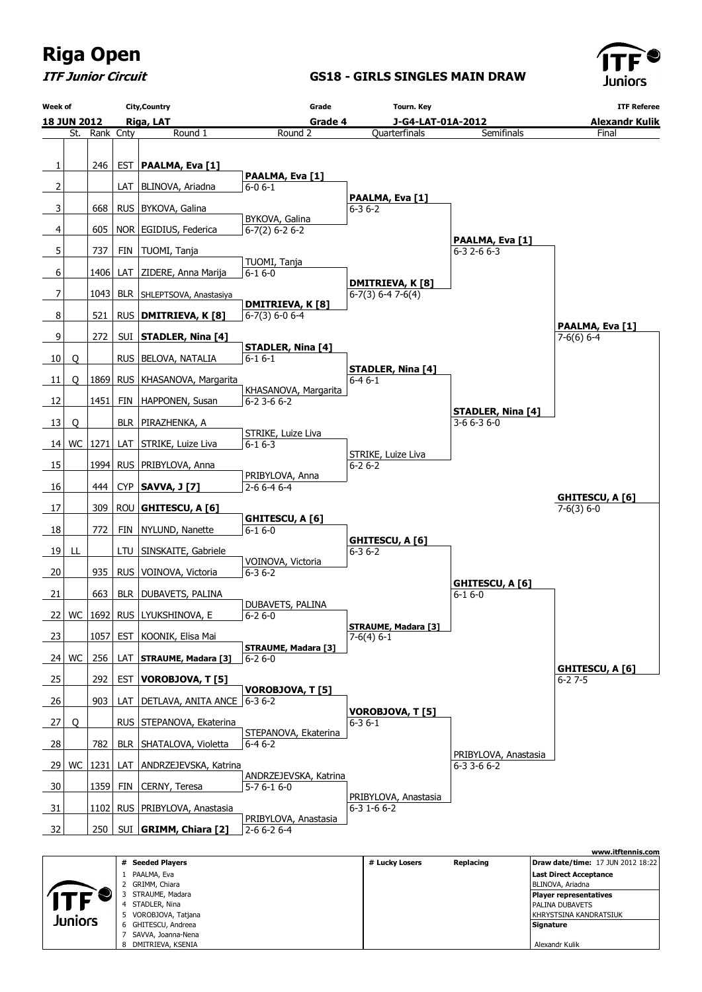

ITF Junior Circuit

GS18 - GIRLS SINGLES MAIN DRAW



|  |            |   | # Seeded Players     | # Lucky Losers | Replacing | <b>Draw date/time: 17 JUN 2012 18:22</b> |
|--|------------|---|----------------------|----------------|-----------|------------------------------------------|
|  | <b>ITF</b> |   | 1 PAALMA, Eva        |                |           | Last Direct Acceptance                   |
|  |            |   | 2 GRIMM, Chiara      |                |           | BLINOVA, Ariadna                         |
|  |            |   | STRAUME, Madara      |                |           | Player representatives                   |
|  |            | 4 | STADLER, Nina        |                |           | <b>PALINA DUBAVETS</b>                   |
|  |            |   | 5 VOROBJOVA, Tatjana |                |           | I KHRYSTSINA KANDRATSIUK                 |
|  | Juniors    |   | 6 GHITESCU, Andreea  |                |           | Signature                                |
|  |            |   | SAVVA, Joanna-Nena   |                |           |                                          |
|  |            |   | 8 DMITRIEVA, KSENIA  |                |           | Alexandr Kulik                           |